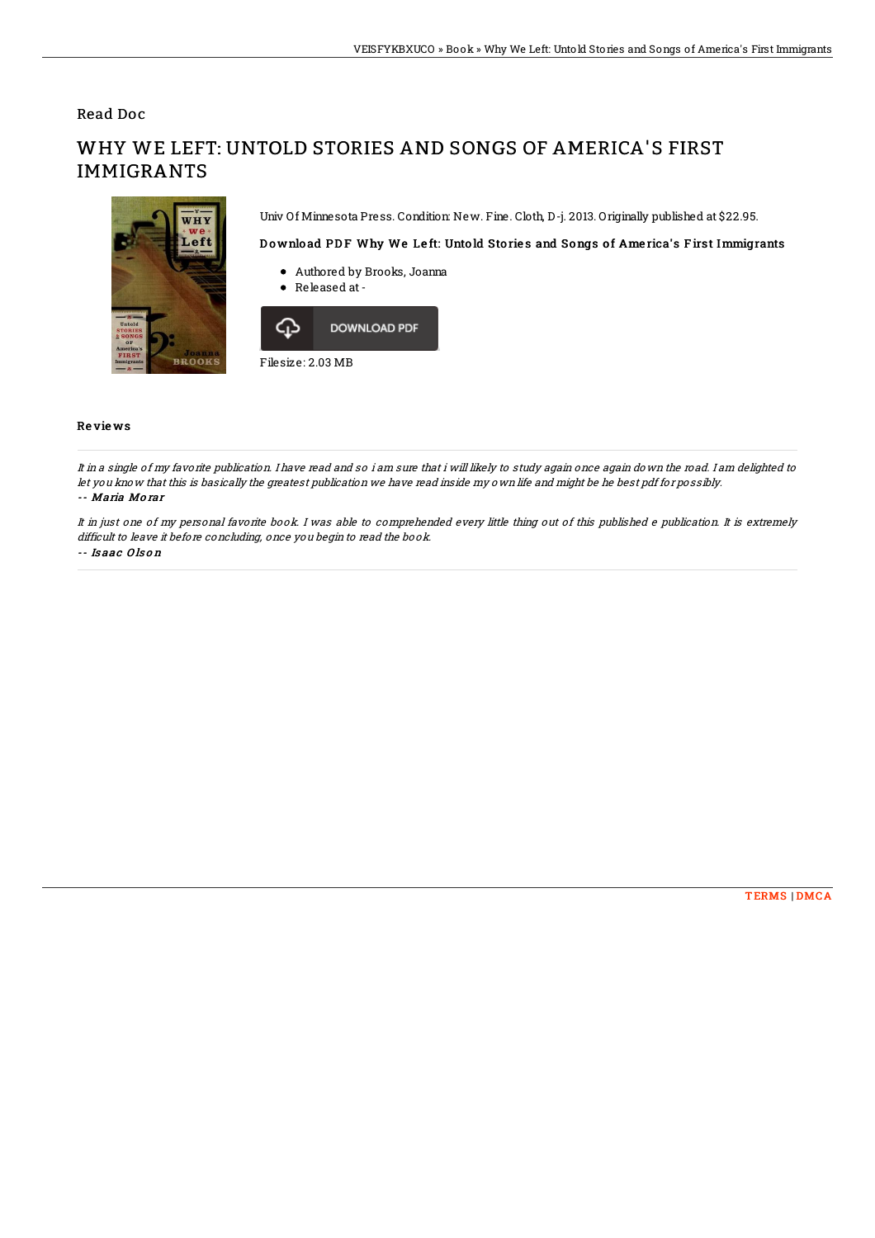Read Doc

## WHY WE LEFT: UNTOLD STORIES AND SONGS OF AMERICA'S FIRST IMMIGRANTS

Univ Of Minnesota Press. Condition: New. Fine. Cloth, D-j. 2013. Originally published at \$22.95.

## Download PDF Why We Left: Untold Stories and Songs of America's First Immigrants

- Authored by Brooks, Joanna
- Released at-



## Re vie ws

It in <sup>a</sup> single of my favorite publication. I have read and so i am sure that i will likely to study again once again down the road. I am delighted to let you know that this is basically the greatest publication we have read inside my own life and might be he best pdf for possibly. -- Maria Mo rar

It in just one of my personal favorite book. I was able to comprehended every little thing out of this published <sup>e</sup> publication. It is extremely difficult to leave it before concluding, once you begin to read the book.

-- Is aac O ls o <sup>n</sup>